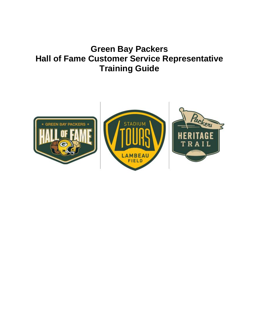# **Green Bay Packers Hall of Fame Customer Service Representative Training Guide**

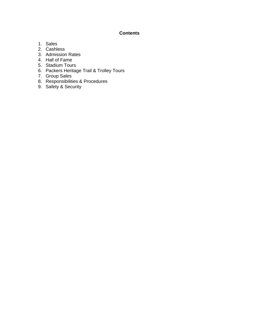# **Contents**

- 1. Sales
- 2. Cashless
- 3. Admission Rates
- 4. Hall of Fame
- 5. Stadium Tours
- 6. Packers Heritage Trail & Trolley Tours
- 7. Group Sales
- 8. Responsibilities & Procedures
- 9. Safety & Security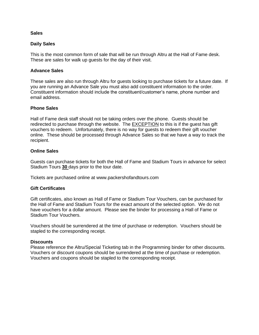### **Sales**

### **Daily Sales**

This is the most common form of sale that will be run through Altru at the Hall of Fame desk. These are sales for walk up guests for the day of their visit.

### **Advance Sales**

These sales are also run through Altru for guests looking to purchase tickets for a future date. If you are running an Advance Sale you must also add constituent information to the order. Constituent information should include the constituent/customer's name, phone number and email address.

### **Phone Sales**

Hall of Fame desk staff should not be taking orders over the phone. Guests should be redirected to purchase through the website. The EXCEPTION to this is if the guest has gift vouchers to redeem. Unfortunately, there is no way for guests to redeem their gift voucher online. These should be processed through Advance Sales so that we have a way to track the recipient.

### **Online Sales**

Guests can purchase tickets for both the Hall of Fame and Stadium Tours in advance for select Stadium Tours **30** days prior to the tour date.

Tickets are purchased online at www.packershofandtours.com

### **Gift Certificates**

Gift certificates, also known as Hall of Fame or Stadium Tour Vouchers, can be purchased for the Hall of Fame and Stadium Tours for the exact amount of the selected option. We do not have vouchers for a dollar amount. Please see the binder for processing a Hall of Fame or Stadium Tour Vouchers.

Vouchers should be surrendered at the time of purchase or redemption. Vouchers should be stapled to the corresponding receipt.

### **Discounts**

Please reference the Altru/Special Ticketing tab in the Programming binder for other discounts. Vouchers or discount coupons should be surrendered at the time of purchase or redemption. Vouchers and coupons should be stapled to the corresponding receipt.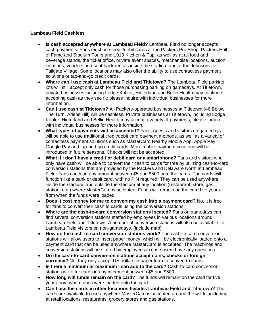# **Lambeau Field Cashless**

- **Is cash accepted anywhere at Lambeau Field?** Lambeau Field no longer accepts cash payments. Fans must use credit/debit cards at the Packers Pro Shop, Packers Hall of Fame and Stadium Tours and 1919 Kitchen & Tap, as well as at all food and beverage stands, the ticket office, private event spaces, merchandise locations, auction locations, vendors and seat back rentals inside the stadium and at the Johnsonville Tailgate Village. Some locations may also offer the ability to use contactless payment solutions or tap-and-go credit cards.
- **Where can I use cash at Lambeau Field and Titletown?** The Lambeau Field parking lots will still accept only cash for those purchasing parking on gamedays. At Titletown, private businesses including Lodge Kohler, Hinterland and Bellin Health may continue accepting cash as they see fit; please inquire with individual businesses for more information.
- **Can I use cash at Titletown?** All Packers-operated businesses at Titletown (46 Below, The Turn, Ariens Hill) will be cashless. Private businesses at Titletown, including Lodge Kohler, Hinterland and Bellin Health may accept a variety of payments; please inquire with individual businesses for more information.
- **What types of payments will be accepted?** Fans, guests and visitors on gamedays will be able to use traditional credit/debit card payment methods, as well as a variety of contactless payment solutions such as MasterCard Nearby Mobile App, Apple Pay, Google Pay and tap-and-go credit cards. More mobile payment solutions will be introduced in future seasons. Checks will not be accepted.
- **What if I don't have a credit or debit card or a smartphone?** Fans and visitors who only have cash will be able to convert their cash to cards for free by utilizing cash-to-card conversion stations that are provided by the Packers and Delaware North at Lambeau Field. Fans can load any amount between \$5 and \$500 onto the cards. The cards will function like a bank or debit card, with no PIN required. They can be used anywhere inside the stadium, and outside the stadium at any location (restaurant, store, gas station, etc.) where MasterCard is accepted. Funds will remain on the card five years from when the funds were loaded.
- **Does it cost money for me to convert my cash into a payment card?** No, it is free for fans to convert their cash to cards using the conversion stations.
- **Where are the cash-to-card conversion stations located?** Fans on gamedays can find several conversion stations staffed by employees in various locations around Lambeau Field and Titletown. A number of conversion stations will also be available for Lambeau Field visitors on non-gamedays. (include map)
- **How do the cash-to-card conversion stations work?** The cash-to-card conversion stations will allow users to insert paper money, which will be electronically loaded onto a payment card that can be used anywhere MasterCard is accepted. The machines and conversion stations will be staffed by employees in case users have any questions.
- **Do the cash-to-card conversion stations accept coins, checks or foreign currency?** No, they only accept US dollars in paper form to convert to cards.
- **Is there a minimum or maximum I can add to the card?** Cash-to-card conversion stations will offer cards in any increment between \$5 and \$500.
- **How long will funds remain on the card?** The funds will remain on the card for five years from when funds were loaded onto the card.
- **Can I use the cards in other locations besides Lambeau Field and Titletown?** The cards are available to use anywhere MasterCard is accepted around the world, including at retail locations, restaurants, grocery stores and gas stations.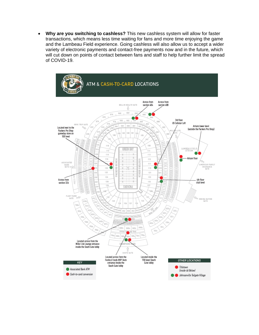• **Why are you switching to cashless?** This new cashless system will allow for faster transactions, which means less time waiting for fans and more time enjoying the game and the Lambeau Field experience. Going cashless will also allow us to accept a wider variety of electronic payments and contact-free payments now and in the future, which will cut down on points of contact between fans and staff to help further limit the spread of COVID-19.

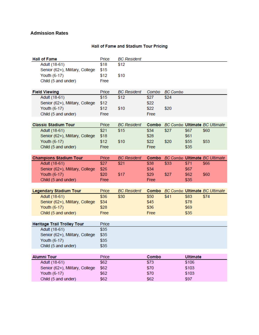# **Admission Rates**

### Hall of Fame and Stadium Tour Pricing

| <b>Hall of Fame</b> |                                    | Price | <b>BC</b> Resident |       |                 |                 |                                      |
|---------------------|------------------------------------|-------|--------------------|-------|-----------------|-----------------|--------------------------------------|
|                     | Adult (18-61)                      | \$18  | \$12               |       |                 |                 |                                      |
|                     | Senior (62+), Military, College    | \$15  |                    |       |                 |                 |                                      |
|                     | Youth (6-17)                       | \$12  | \$10               |       |                 |                 |                                      |
|                     | Child (5 and under)                | Free  |                    |       |                 |                 |                                      |
|                     |                                    |       |                    |       |                 |                 |                                      |
|                     | <b>Field Viewing</b>               | Price | <b>BC</b> Resident | Combo | <b>BC</b> Combo |                 |                                      |
|                     | Adult (18-61)                      | \$15  | \$12               | \$27  | \$24            |                 |                                      |
|                     | Senior (62+), Military, College    | \$12  |                    | \$22  |                 |                 |                                      |
|                     | Youth (6-17)                       | \$12  | \$10               | \$22  | \$20            |                 |                                      |
|                     | Child (5 and under)                | Free  |                    | Free  |                 |                 |                                      |
|                     |                                    |       |                    |       |                 |                 |                                      |
|                     | <b>Classic Stadium Tour</b>        | Price | <b>BC</b> Resident |       |                 |                 | Combo BC Combo Ultimate BC Ultimate  |
|                     | Adult (18-61)                      | \$21  | \$15               | \$34  | \$27            | \$67            | \$60                                 |
|                     | Senior (62+), Military, College    | \$18  |                    | \$28  |                 | \$61            |                                      |
|                     | Youth (6-17)                       | \$12  | \$10               | \$22  | \$20            | \$55            | \$53                                 |
|                     | Child (5 and under)                | Free  |                    | Free  |                 | \$35            |                                      |
|                     |                                    |       |                    |       |                 |                 |                                      |
|                     | <b>Champions Stadium Tour</b>      | Price | <b>BC</b> Resident | Combo |                 |                 | <b>BC Combo Ultimate BC Ultimate</b> |
|                     | Adult (18-61)                      | \$27  | \$21               | \$38  | \$33            | \$71            | \$66                                 |
|                     | Senior (62+), Military, College    | \$26  |                    | \$34  |                 | \$67            |                                      |
|                     | Youth (6-17)                       | \$20  | \$17               | \$29  | \$27            | \$62            | \$60                                 |
|                     | Child (5 and under)                | Free  |                    | Free  |                 | \$35            |                                      |
|                     |                                    |       |                    |       |                 |                 |                                      |
|                     | <b>Legendary Stadium Tour</b>      | Price | <b>BC</b> Resident | Combo |                 |                 | <b>BC Combo Ultimate BC Ultimate</b> |
|                     | Adult (18-61)                      | \$36  | \$30               | \$50  | \$41            | \$83            | \$74                                 |
|                     | Senior (62+), Military, College    | \$34  |                    | \$45  |                 | \$78            |                                      |
|                     | Youth (6-17)                       | \$28  |                    | \$36  |                 | \$69            |                                      |
|                     | Child (5 and under)                | Free  |                    | Free  |                 | \$35            |                                      |
|                     |                                    |       |                    |       |                 |                 |                                      |
|                     | <b>Heritage Trail Trolley Tour</b> | Price |                    |       |                 |                 |                                      |
|                     | Adult (18-61)                      | \$35  |                    |       |                 |                 |                                      |
|                     | Senior (62+), Military, College    | \$35  |                    |       |                 |                 |                                      |
|                     | Youth (6-17)                       | \$35  |                    |       |                 |                 |                                      |
|                     | Child (5 and under)                | \$35  |                    |       |                 |                 |                                      |
|                     |                                    |       |                    |       |                 |                 |                                      |
|                     | <b>Alumni Tour</b>                 | Price |                    | Combo |                 | <b>Ultimate</b> |                                      |
|                     | Adult (18-61)                      | \$62  |                    | \$73  |                 | \$106           |                                      |
|                     | Senior (62+), Military, College    | \$62  |                    | \$70  |                 | \$103           |                                      |
|                     | Youth (6-17)                       | \$62  |                    | \$70  |                 | \$103           |                                      |
|                     |                                    |       |                    |       |                 |                 |                                      |
|                     | Child (5 and under)                | \$62  |                    | \$62  |                 | \$97            |                                      |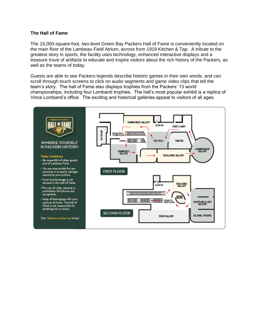### **The Hall of Fame**

The 15,000-square-foot, two-level Green Bay Packers Hall of Fame is conveniently located on the main floor of the Lambeau Field Atrium, across from 1919 Kitchen & Tap. A tribute to the greatest story in sports, the facility uses technology, enhanced interactive displays and a treasure trove of artifacts to educate and inspire visitors about the rich history of the Packers, as well as the teams of today.

Guests are able to see Packers legends describe historic games in their own words, and can scroll through touch screens to click on audio segments and game video clips that tell the team's story. The hall of Fame also displays trophies from the Packers' 13 world championships, including four Lombardi trophies. The hall's most popular exhibit is a replica of Vince Lombardi's office. The exciting and historical galleries appeal to visitors of all ages.

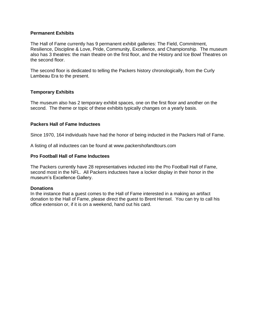## **Permanent Exhibits**

The Hall of Fame currently has 9 permanent exhibit galleries: The Field, Commitment, Resilience, Discipline & Love, Pride, Community, Excellence, and Championship. The museum also has 3 theatres: the main theatre on the first floor, and the History and Ice Bowl Theatres on the second floor.

The second floor is dedicated to telling the Packers history chronologically, from the Curly Lambeau Era to the present.

# **Temporary Exhibits**

The museum also has 2 temporary exhibit spaces, one on the first floor and another on the second. The theme or topic of these exhibits typically changes on a yearly basis.

# **Packers Hall of Fame Inductees**

Since 1970, 164 individuals have had the honor of being inducted in the Packers Hall of Fame.

A listing of all inductees can be found at www.packershofandtours.com

# **Pro Football Hall of Fame Inductees**

The Packers currently have 28 representatives inducted into the Pro Football Hall of Fame, second most in the NFL. All Packers inductees have a locker display in their honor in the museum's Excellence Gallery.

### **Donations**

In the instance that a guest comes to the Hall of Fame interested in a making an artifact donation to the Hall of Fame, please direct the guest to Brent Hensel. You can try to call his office extension or, if it is on a weekend, hand out his card.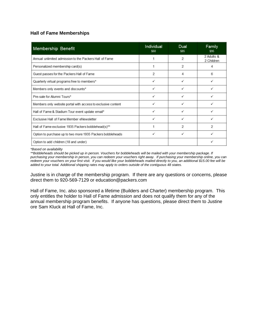# **Hall of Fame Memberships**

| Membership Benefit                                           | Individual<br>\$60       | Dual<br>\$85             | Family<br>\$95           |
|--------------------------------------------------------------|--------------------------|--------------------------|--------------------------|
| Annual unlimited admission to the Packers Hall of Fame       |                          | $\overline{2}$           | 2 Adults &<br>2 Children |
| Personalized membership card(s)                              |                          | 2                        |                          |
| Guest passes for the Packers Hall of Fame                    | $\overline{\phantom{a}}$ |                          | в                        |
| Quarterly virtual programs free to members*                  | ✓                        |                          |                          |
| Members only events and discounts*                           | ✓                        |                          |                          |
| Pre-sale for Alumni Tours*                                   | ✓                        |                          |                          |
| Members only website portal with access to exclusive content | ✓                        |                          |                          |
| Hall of Fame & Stadium Tour event update email*              | ✓                        |                          |                          |
| Exclusive Hall of Fame Member eNewsletter                    |                          |                          |                          |
| Hall of Fame exclusive 1935 Packers bobblehead(s)**          |                          | $\overline{\phantom{a}}$ | $\overline{2}$           |
| Option to purchase up to two more 1935 Packers bobbleheads   | ✓                        | ✓                        |                          |
| Option to add children (18 and under)                        |                          |                          |                          |

*\*Based on availability*

*\*\*Bobbleheads should be picked up in person. Vouchers for bobbleheads will be mailed with your membership package. If purchasing your membership in person, you can redeem your vouchers right away. If purchasing your membership online, you can redeem your vouchers on your first visit. If you would like your bobbleheads mailed directly to you, an additional \$15.00 fee will be added to your total. Additional shipping rates may apply to orders outside of the contiguous 48 states.*

Justine is in charge of the membership program. If there are any questions or concerns, please direct them to 920-569-7129 or education@packers.com

Hall of Fame, Inc. also sponsored a lifetime (Builders and Charter) membership program. This only entitles the holder to Hall of Fame admission and does not qualify them for any of the annual membership program benefits. If anyone has questions, please direct them to Justine ore Sam Kluck at Hall of Fame, Inc.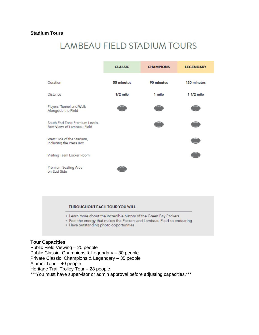# **Stadium Tours**

# **LAMBEAU FIELD STADIUM TOURS**

|                                                               | <b>CLASSIC</b> | <b>CHAMPIONS</b> | <b>LEGENDARY</b> |
|---------------------------------------------------------------|----------------|------------------|------------------|
| Duration                                                      | 55 minutes     | 90 minutes       | 120 minutes      |
| Distance                                                      | $1/2$ mile     | 1 mile           | $11/2$ mile      |
| Players' Tunnel and Walk<br>Alongside the Field               |                |                  |                  |
| South End Zone Premium Levels,<br>Best Views of Lambeau Field |                |                  |                  |
| West Side of the Stadium,<br>Including the Press Box          |                |                  |                  |
| Visiting Team Locker Room                                     |                |                  |                  |
| Premium Seating Area<br>on East Side                          |                |                  |                  |

### **THROUGHOUT EACH TOUR YOU WILL**

- . Learn more about the incredible history of the Green Bay Packers
- · Feel the energy that makes the Packers and Lambeau Field so endearing
- · Have outstanding photo opportunities

## **Tour Capacities**

Public Field Viewing – 20 people Public Classic, Champions & Legendary – 30 people Private Classic, Champions & Legendary – 35 people Alumni Tour – 40 people Heritage Trail Trolley Tour – 28 people \*\*\*You must have supervisor or admin approval before adjusting capacities.\*\*\*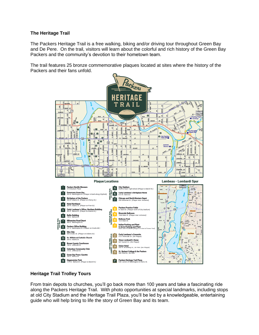# **The Heritage Trail**

The Packers Heritage Trail is a free walking, biking and/or driving tour throughout Green Bay and De Pere. On the trail, visitors will learn about the colorful and rich history of the Green Bay Packers and the community's devotion to their hometown team.

The trail features 25 bronze commemorative plaques located at sites where the history of the Packers and their fans unfold.



# **Heritage Trail Trolley Tours**

From train depots to churches, you'll go back more than 100 years and take a fascinating ride along the Packers Heritage Trail. With photo opportunities at special landmarks, including stops at old City Stadium and the Heritage Trail Plaza, you'll be led by a knowledgeable, entertaining guide who will help bring to life the story of Green Bay and its team.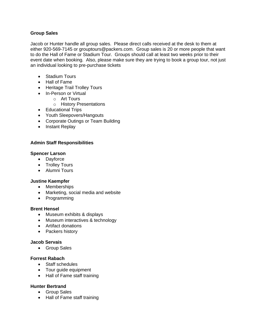# **Group Sales**

Jacob or Hunter handle all group sales. Please direct calls received at the desk to them at either 920-569-7145 or grouptours@packers.com. Group sales is 20 or more people that want to do the Hall of Fame or Stadium Tour. Groups should call at least two weeks prior to their event date when booking. Also, please make sure they are trying to book a group tour, not just an individual looking to pre-purchase tickets

- Stadium Tours
- Hall of Fame
- Heritage Trail Trolley Tours
- In-Person or Virtual
	- o Art Tours
		- o History Presentations
- Educational Trips
- Youth Sleepovers/Hangouts
- Corporate Outings or Team Building
- Instant Replay

# **Admin Staff Responsibilities**

### **Spencer Larson**

- Dayforce
- Trolley Tours
- Alumni Tours

# **Justine Kaempfer**

- Memberships
- Marketing, social media and website
- Programming

### **Brent Hensel**

- Museum exhibits & displays
- Museum interactives & technology
- Artifact donations
- Packers history

### **Jacob Servais**

• Group Sales

# **Forrest Rabach**

- Staff schedules
- Tour guide equipment
- Hall of Fame staff training

# **Hunter Bertrand**

- Group Sales
- Hall of Fame staff training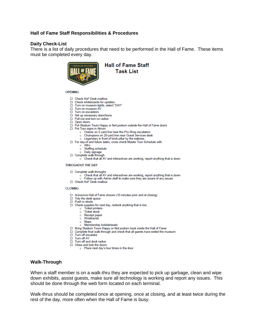# **Hall of Fame Staff Responsibilities & Procedures**

### **Daily Check-List**

There is a list of daily procedures that need to be performed in the Hall of Fame. These items must be completed every day.



**Hall of Fame Staff Task List** 

**OPENING** 

- □ Check HoF Desk mailbox
- $\Box$   $\Box$   $\Box$   $\Box$   $\Box$   $\Box$   $\Box$   $\Box$
- □ Turn on museum AV
- $\Box$  Turn on escalators
- □ Set up necessary stanchions
- $\Box$  Pull out and turn on radios
- $\Box$  Open doors
- □ Put Stadium Tours Happy or Not podium outside the Hall of Fame doors
- □ Put Tour signs in Atrium
	- o Classic on 5-yard line near the Pro-Shop escalators
	- o Champions on 20-yard line near Guest Services desk
	- o Legendary in front of brick pillar by the eateries
- □ For day-of and future dates, cross check Master Tour Schedule with:
	- o Altru
	- o Staffing schedule
	- o Daily signage
- Complete walk-through
	- $\circ$  Check that all AV and interactives are working, report anything that is down

#### **THROGHOUT THE DAY**

- □ Complete walk-throughs
	- o Check that all AV and interactives are working, report anything that is down
	- o Follow up with Admin staff to make sure they are aware of any issues
- Check HoF Desk mailbox

#### **CLOSING**

- □ Announce Hall of Fame closure (10 minutes prior and at closing)
- □ Tidy the desk space
- $\Box$  Push in stools
- □ Check supplies for next day, restock anything that is low
	- o Ticket printers
	- o Ticket stock
	- o Receipt paper o Wristbands
	- o Maps
	- o Membership bobbleheads
- □ Bring Stadium Tours Happy or Not podium back inside the Hall of Fame
- □ Complete final walk-through and check that all guests have exited the museum
- □ Turn off escalator<br>□ Turn off AV
- 
- $\Box$  Turn off and dock radios
- □ Close and lock the doors
	- o Place next day's tour times in the door

### **Walk-Through**

When a staff member is on a walk-thru they are expected to pick up garbage, clean and wipe down exhibits, assist guests, make sure all technology is working and report any issues. This should be done through the web form located on each terminal.

Walk-thrus should be completed once at opening, once at closing, and at least twice during the rest of the day, more often when the Hall of Fame is busy.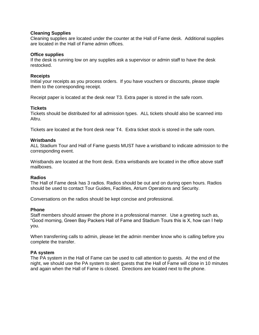## **Cleaning Supplies**

Cleaning supplies are located under the counter at the Hall of Fame desk. Additional supplies are located in the Hall of Fame admin offices.

### **Office supplies**

If the desk is running low on any supplies ask a supervisor or admin staff to have the desk restocked.

### **Receipts**

Initial your receipts as you process orders. If you have vouchers or discounts, please staple them to the corresponding receipt.

Receipt paper is located at the desk near T3. Extra paper is stored in the safe room.

### **Tickets**

Tickets should be distributed for all admission types. ALL tickets should also be scanned into Altru.

Tickets are located at the front desk near T4. Extra ticket stock is stored in the safe room.

### **Wristbands**

ALL Stadium Tour and Hall of Fame guests MUST have a wristband to indicate admission to the corresponding event.

Wristbands are located at the front desk. Extra wristbands are located in the office above staff mailboxes.

### **Radios**

The Hall of Fame desk has 3 radios. Radios should be out and on during open hours. Radios should be used to contact Tour Guides, Facilities, Atrium Operations and Security.

Conversations on the radios should be kept concise and professional.

### **Phone**

Staff members should answer the phone in a professional manner. Use a greeting such as, "Good morning, Green Bay Packers Hall of Fame and Stadium Tours this is X, how can I help you.

When transferring calls to admin, please let the admin member know who is calling before you complete the transfer.

### **PA system**

The PA system in the Hall of Fame can be used to call attention to guests. At the end of the night, we should use the PA system to alert guests that the Hall of Fame will close in 10 minutes and again when the Hall of Fame is closed. Directions are located next to the phone.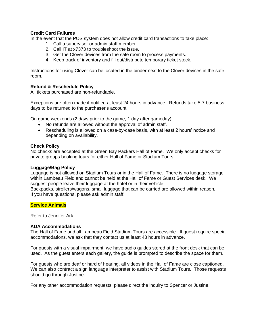# **Credit Card Failures**

In the event that the POS system does not allow credit card transactions to take place:

- 1. Call a supervisor or admin staff member.
- 2. Call IT at x7373 to troubleshoot the issue.
- 3. Get the Clover devices from the safe room to process payments.
- 4. Keep track of inventory and fill out/distribute temporary ticket stock.

Instructions for using Clover can be located in the binder next to the Clover devices in the safe room.

# **Refund & Reschedule Policy**

All tickets purchased are non-refundable.

Exceptions are often made if notified at least 24 hours in advance. Refunds take 5-7 business days to be returned to the purchaser's account.

On game weekends (2 days prior to the game, 1 day after gameday):

- No refunds are allowed without the approval of admin staff.
- Rescheduling is allowed on a case-by-case basis, with at least 2 hours' notice and depending on availability.

# **Check Policy**

No checks are accepted at the Green Bay Packers Hall of Fame. We only accept checks for private groups booking tours for either Hall of Fame or Stadium Tours.

### **Luggage/Bag Policy**

Luggage is not allowed on Stadium Tours or in the Hall of Fame. There is no luggage storage within Lambeau Field and cannot be held at the Hall of Fame or Guest Services desk. We suggest people leave their luggage at the hotel or in their vehicle.

Backpacks, strollers/wagons, small luggage that can be carried are allowed within reason. If you have questions, please ask admin staff.

### **Service Animals**

Refer to Jennifer Ark

### **ADA Accommodations**

The Hall of Fame and all Lambeau Field Stadium Tours are accessible. If guest require special accommodations, we ask that they contact us at least 48 hours in advance.

For guests with a visual impairment, we have audio guides stored at the front desk that can be used. As the guest enters each gallery, the guide is prompted to describe the space for them.

For guests who are deaf or hard of hearing, all videos in the Hall of Fame are close captioned. We can also contract a sign language interpreter to assist with Stadium Tours. Those requests should go through Justine.

For any other accommodation requests, please direct the inquiry to Spencer or Justine.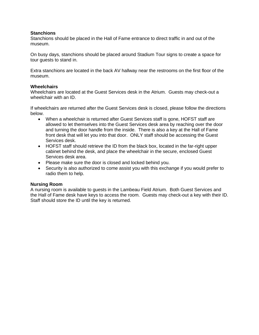# **Stanchions**

Stanchions should be placed in the Hall of Fame entrance to direct traffic in and out of the museum.

On busy days, stanchions should be placed around Stadium Tour signs to create a space for tour guests to stand in.

Extra stanchions are located in the back AV hallway near the restrooms on the first floor of the museum.

### **Wheelchairs**

Wheelchairs are located at the Guest Services desk in the Atrium. Guests may check-out a wheelchair with an ID.

If wheelchairs are returned after the Guest Services desk is closed, please follow the directions below.

- When a wheelchair is returned after Guest Services staff is gone, HOFST staff are allowed to let themselves into the Guest Services desk area by reaching over the door and turning the door handle from the inside. There is also a key at the Hall of Fame front desk that will let you into that door. ONLY staff should be accessing the Guest Services desk.
- HOFST staff should retrieve the ID from the black box, located in the far-right upper cabinet behind the desk, and place the wheelchair in the secure, enclosed Guest Services desk area.
- Please make sure the door is closed and locked behind you.
- Security is also authorized to come assist you with this exchange if you would prefer to radio them to help.

### **Nursing Room**

A nursing room is available to guests in the Lambeau Field Atrium. Both Guest Services and the Hall of Fame desk have keys to access the room. Guests may check-out a key with their ID. Staff should store the ID until the key is returned.